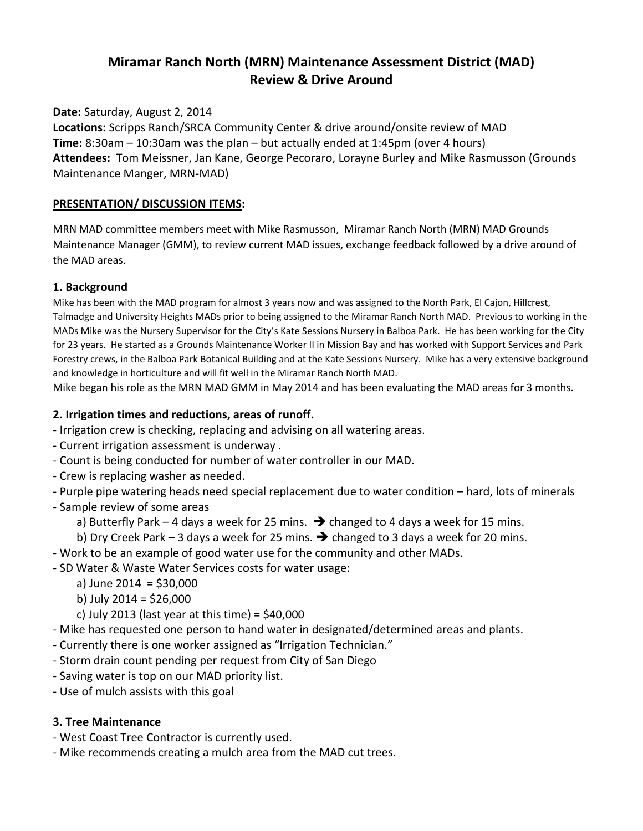# Miramar Ranch North (MRN) Maintenance Assessment District (MAD) Review & Drive Around

Date: Saturday, August 2, 2014

Locations: Scripps Ranch/SRCA Community Center & drive around/onsite review of MAD Time: 8:30am – 10:30am was the plan – but actually ended at 1:45pm (over 4 hours) Attendees: Tom Meissner, Jan Kane, George Pecoraro, Lorayne Burley and Mike Rasmusson (Grounds Maintenance Manger, MRN-MAD)

#### PRESENTATION/ DISCUSSION ITEMS:

MRN MAD committee members meet with Mike Rasmusson, Miramar Ranch North (MRN) MAD Grounds Maintenance Manager (GMM), to review current MAD issues, exchange feedback followed by a drive around of the MAD areas.

## 1. Background

Mike has been with the MAD program for almost 3 years now and was assigned to the North Park, El Cajon, Hillcrest, Talmadge and University Heights MADs prior to being assigned to the Miramar Ranch North MAD. Previous to working in the MADs Mike was the Nursery Supervisor for the City's Kate Sessions Nursery in Balboa Park. He has been working for the City for 23 years. He started as a Grounds Maintenance Worker II in Mission Bay and has worked with Support Services and Park Forestry crews, in the Balboa Park Botanical Building and at the Kate Sessions Nursery. Mike has a very extensive background and knowledge in horticulture and will fit well in the Miramar Ranch North MAD.

Mike began his role as the MRN MAD GMM in May 2014 and has been evaluating the MAD areas for 3 months.

## 2. Irrigation times and reductions, areas of runoff.

- Irrigation crew is checking, replacing and advising on all watering areas.

- Current irrigation assessment is underway .
- Count is being conducted for number of water controller in our MAD.
- Crew is replacing washer as needed.

- Purple pipe watering heads need special replacement due to water condition – hard, lots of minerals

- Sample review of some areas
	- a) Butterfly Park 4 days a week for 25 mins.  $\rightarrow$  changed to 4 days a week for 15 mins.

b) Dry Creek Park – 3 days a week for 25 mins.  $\rightarrow$  changed to 3 days a week for 20 mins.

- Work to be an example of good water use for the community and other MADs.
- SD Water & Waste Water Services costs for water usage:
	- a) June 2014 = \$30,000
	- b) July 2014 = \$26,000
	- c) July 2013 (last year at this time) =  $$40,000$
- Mike has requested one person to hand water in designated/determined areas and plants.
- Currently there is one worker assigned as "Irrigation Technician."
- Storm drain count pending per request from City of San Diego
- Saving water is top on our MAD priority list.
- Use of mulch assists with this goal

#### 3. Tree Maintenance

- West Coast Tree Contractor is currently used.
- Mike recommends creating a mulch area from the MAD cut trees.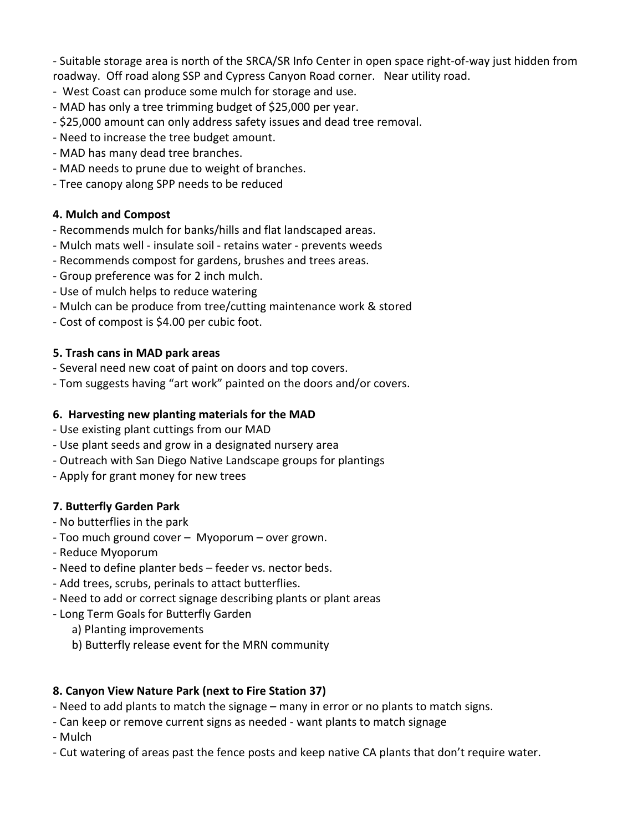- Suitable storage area is north of the SRCA/SR Info Center in open space right-of-way just hidden from roadway. Off road along SSP and Cypress Canyon Road corner. Near utility road.

- West Coast can produce some mulch for storage and use.
- MAD has only a tree trimming budget of \$25,000 per year.
- \$25,000 amount can only address safety issues and dead tree removal.
- Need to increase the tree budget amount.
- MAD has many dead tree branches.
- MAD needs to prune due to weight of branches.
- Tree canopy along SPP needs to be reduced

#### 4. Mulch and Compost

- Recommends mulch for banks/hills and flat landscaped areas.
- Mulch mats well insulate soil retains water prevents weeds
- Recommends compost for gardens, brushes and trees areas.
- Group preference was for 2 inch mulch.
- Use of mulch helps to reduce watering
- Mulch can be produce from tree/cutting maintenance work & stored
- Cost of compost is \$4.00 per cubic foot.

#### 5. Trash cans in MAD park areas

- Several need new coat of paint on doors and top covers.
- Tom suggests having "art work" painted on the doors and/or covers.

#### 6. Harvesting new planting materials for the MAD

- Use existing plant cuttings from our MAD
- Use plant seeds and grow in a designated nursery area
- Outreach with San Diego Native Landscape groups for plantings
- Apply for grant money for new trees

## 7. Butterfly Garden Park

- No butterflies in the park
- Too much ground cover Myoporum over grown.
- Reduce Myoporum
- Need to define planter beds feeder vs. nector beds.
- Add trees, scrubs, perinals to attact butterflies.
- Need to add or correct signage describing plants or plant areas
- Long Term Goals for Butterfly Garden
	- a) Planting improvements
	- b) Butterfly release event for the MRN community

## 8. Canyon View Nature Park (next to Fire Station 37)

- Need to add plants to match the signage many in error or no plants to match signs.
- Can keep or remove current signs as needed want plants to match signage
- Mulch
- Cut watering of areas past the fence posts and keep native CA plants that don't require water.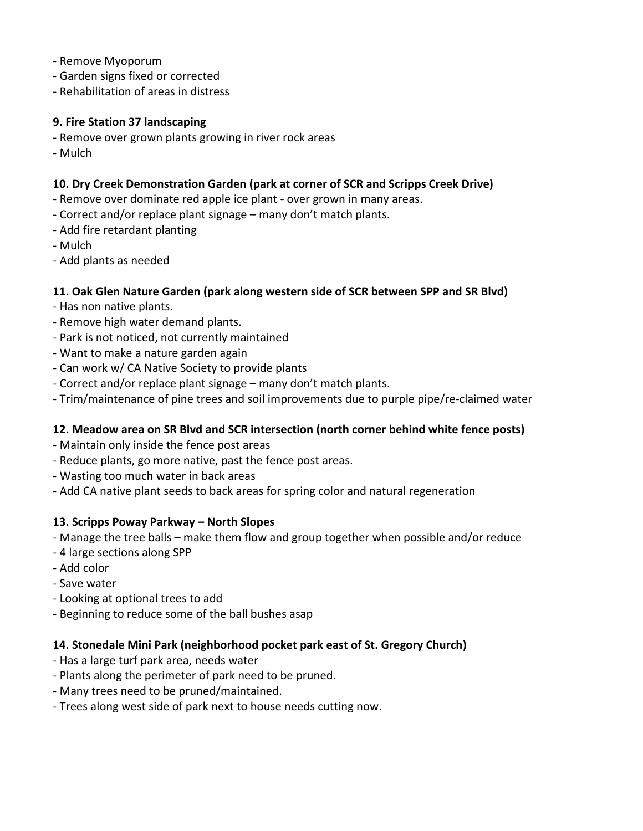- Remove Myoporum
- Garden signs fixed or corrected
- Rehabilitation of areas in distress

#### 9. Fire Station 37 landscaping

- Remove over grown plants growing in river rock areas
- Mulch

## 10. Dry Creek Demonstration Garden (park at corner of SCR and Scripps Creek Drive)

- Remove over dominate red apple ice plant over grown in many areas.
- Correct and/or replace plant signage many don't match plants.
- Add fire retardant planting
- Mulch
- Add plants as needed

## 11. Oak Glen Nature Garden (park along western side of SCR between SPP and SR Blvd)

- Has non native plants.
- Remove high water demand plants.
- Park is not noticed, not currently maintained
- Want to make a nature garden again
- Can work w/ CA Native Society to provide plants
- Correct and/or replace plant signage many don't match plants.
- Trim/maintenance of pine trees and soil improvements due to purple pipe/re-claimed water

## 12. Meadow area on SR Blvd and SCR intersection (north corner behind white fence posts)

- Maintain only inside the fence post areas
- Reduce plants, go more native, past the fence post areas.
- Wasting too much water in back areas
- Add CA native plant seeds to back areas for spring color and natural regeneration

## 13. Scripps Poway Parkway – North Slopes

- Manage the tree balls make them flow and group together when possible and/or reduce
- 4 large sections along SPP
- Add color
- Save water
- Looking at optional trees to add
- Beginning to reduce some of the ball bushes asap

## 14. Stonedale Mini Park (neighborhood pocket park east of St. Gregory Church)

- Has a large turf park area, needs water
- Plants along the perimeter of park need to be pruned.
- Many trees need to be pruned/maintained.
- Trees along west side of park next to house needs cutting now.